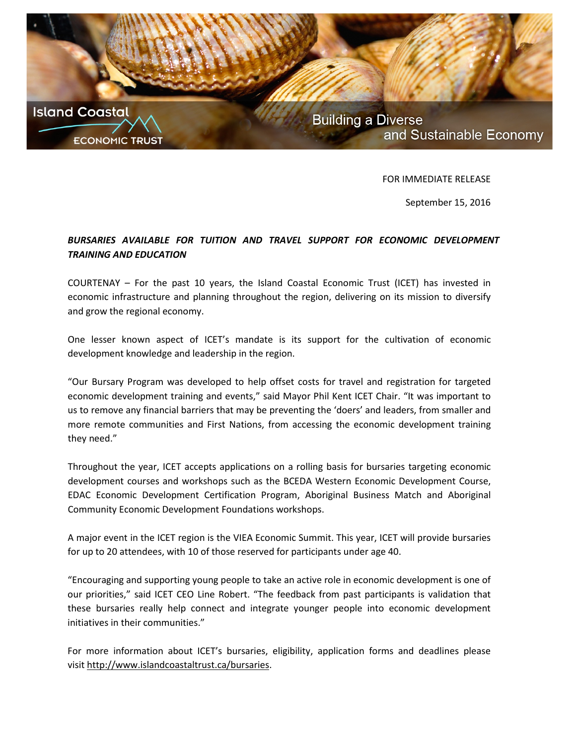

FOR IMMEDIATE RELEASE

September 15, 2016

## *BURSARIES AVAILABLE FOR TUITION AND TRAVEL SUPPORT FOR ECONOMIC DEVELOPMENT TRAINING AND EDUCATION*

COURTENAY – For the past 10 years, the Island Coastal Economic Trust (ICET) has invested in economic infrastructure and planning throughout the region, delivering on its mission to diversify and grow the regional economy.

One lesser known aspect of ICET's mandate is its support for the cultivation of economic development knowledge and leadership in the region.

"Our Bursary Program was developed to help offset costs for travel and registration for targeted economic development training and events," said Mayor Phil Kent ICET Chair. "It was important to us to remove any financial barriers that may be preventing the 'doers' and leaders, from smaller and more remote communities and First Nations, from accessing the economic development training they need."

Throughout the year, ICET accepts applications on a rolling basis for bursaries targeting economic development courses and workshops such as the BCEDA Western Economic Development Course, EDAC Economic Development Certification Program, Aboriginal Business Match and Aboriginal Community Economic Development Foundations workshops.

A major event in the ICET region is the VIEA Economic Summit. This year, ICET will provide bursaries for up to 20 attendees, with 10 of those reserved for participants under age 40.

"Encouraging and supporting young people to take an active role in economic development is one of our priorities," said ICET CEO Line Robert. "The feedback from past participants is validation that these bursaries really help connect and integrate younger people into economic development initiatives in their communities."

For more information about ICET's bursaries, eligibility, application forms and deadlines please visit [http://www.islandcoastaltrust.ca/bursaries.](http://www.islandcoastaltrust.ca/bursaries)